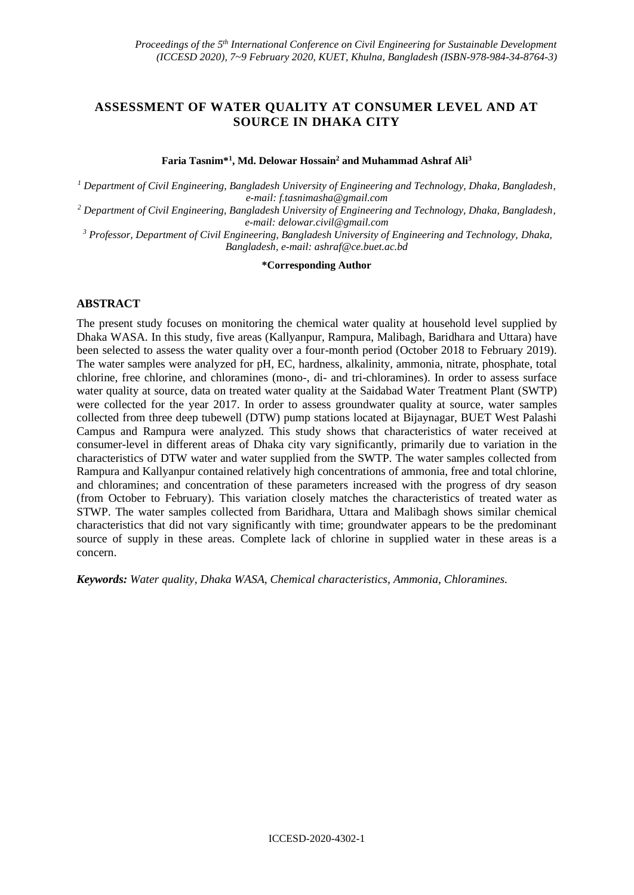# **ASSESSMENT OF WATER QUALITY AT CONSUMER LEVEL AND AT SOURCE IN DHAKA CITY**

**Faria Tasnim\*<sup>1</sup> , Md. Delowar Hossain<sup>2</sup> and Muhammad Ashraf Ali<sup>3</sup>**

*<sup>1</sup> Department of Civil Engineering, Bangladesh University of Engineering and Technology, Dhaka, Bangladesh, e-mail: f.tasnimasha@gmail.com*

*<sup>2</sup> Department of Civil Engineering, Bangladesh University of Engineering and Technology, Dhaka, Bangladesh, e-mail: delowar.civil@gmail.com*

*<sup>3</sup> Professor, Department of Civil Engineering, Bangladesh University of Engineering and Technology, Dhaka, Bangladesh, e-mail: ashraf@ce.buet.ac.bd* 

**\*Corresponding Author**

### **ABSTRACT**

The present study focuses on monitoring the chemical water quality at household level supplied by Dhaka WASA. In this study, five areas (Kallyanpur, Rampura, Malibagh, Baridhara and Uttara) have been selected to assess the water quality over a four-month period (October 2018 to February 2019). The water samples were analyzed for pH, EC, hardness, alkalinity, ammonia, nitrate, phosphate, total chlorine, free chlorine, and chloramines (mono-, di- and tri-chloramines). In order to assess surface water quality at source, data on treated water quality at the Saidabad Water Treatment Plant (SWTP) were collected for the year 2017. In order to assess groundwater quality at source, water samples collected from three deep tubewell (DTW) pump stations located at Bijaynagar, BUET West Palashi Campus and Rampura were analyzed. This study shows that characteristics of water received at consumer-level in different areas of Dhaka city vary significantly, primarily due to variation in the characteristics of DTW water and water supplied from the SWTP. The water samples collected from Rampura and Kallyanpur contained relatively high concentrations of ammonia, free and total chlorine, and chloramines; and concentration of these parameters increased with the progress of dry season (from October to February). This variation closely matches the characteristics of treated water as STWP. The water samples collected from Baridhara, Uttara and Malibagh shows similar chemical characteristics that did not vary significantly with time; groundwater appears to be the predominant source of supply in these areas. Complete lack of chlorine in supplied water in these areas is a concern.

*Keywords: Water quality, Dhaka WASA, Chemical characteristics, Ammonia, Chloramines.*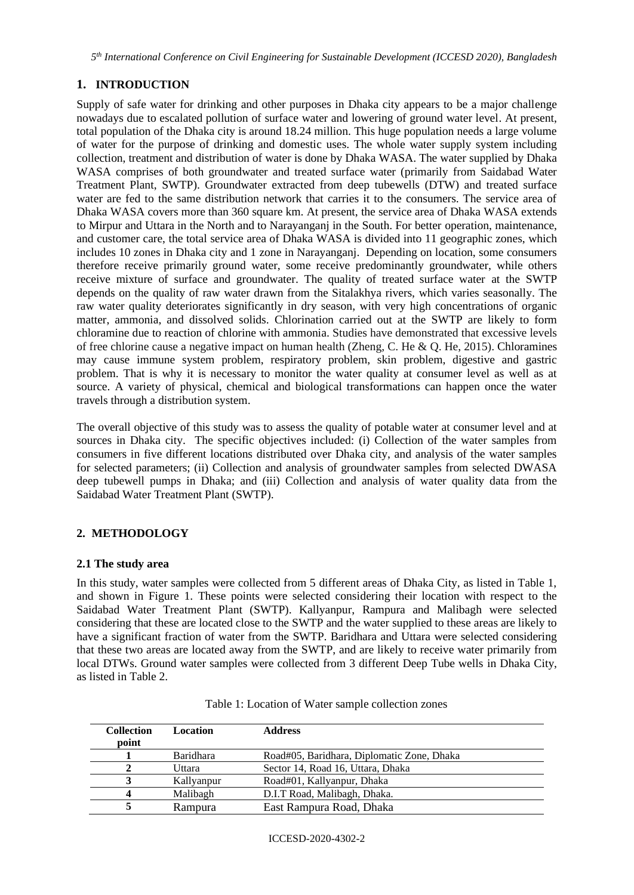*5 th International Conference on Civil Engineering for Sustainable Development (ICCESD 2020), Bangladesh*

# **1. INTRODUCTION**

Supply of safe water for drinking and other purposes in Dhaka city appears to be a major challenge nowadays due to escalated pollution of surface water and lowering of ground water level. At present, total population of the Dhaka city is around 18.24 million. This huge population needs a large volume of water for the purpose of drinking and domestic uses. The whole water supply system including collection, treatment and distribution of water is done by Dhaka WASA. The water supplied by Dhaka WASA comprises of both groundwater and treated surface water (primarily from Saidabad Water Treatment Plant, SWTP). Groundwater extracted from deep tubewells (DTW) and treated surface water are fed to the same distribution network that carries it to the consumers. The service area of Dhaka WASA covers more than 360 square km. At present, the service area of Dhaka WASA extends to Mirpur and Uttara in the North and to Narayanganj in the South. For better operation, maintenance, and customer care, the total service area of Dhaka WASA is divided into 11 geographic zones, which includes 10 zones in Dhaka city and 1 zone in Narayanganj. Depending on location, some consumers therefore receive primarily ground water, some receive predominantly groundwater, while others receive mixture of surface and groundwater. The quality of treated surface water at the SWTP depends on the quality of raw water drawn from the Sitalakhya rivers, which varies seasonally. The raw water quality deteriorates significantly in dry season, with very high concentrations of organic matter, ammonia, and dissolved solids. Chlorination carried out at the SWTP are likely to form chloramine due to reaction of chlorine with ammonia. Studies have demonstrated that excessive levels of free chlorine cause a negative impact on human health (Zheng, C. He & Q. He, 2015). Chloramines may cause immune system problem, respiratory problem, skin problem, digestive and gastric problem. That is why it is necessary to monitor the water quality at consumer level as well as at source. A variety of physical, chemical and biological transformations can happen once the water travels through a distribution system.

The overall objective of this study was to assess the quality of potable water at consumer level and at sources in Dhaka city. The specific objectives included: (i) Collection of the water samples from consumers in five different locations distributed over Dhaka city, and analysis of the water samples for selected parameters; (ii) Collection and analysis of groundwater samples from selected DWASA deep tubewell pumps in Dhaka; and (iii) Collection and analysis of water quality data from the Saidabad Water Treatment Plant (SWTP).

# **2. METHODOLOGY**

# **2.1 The study area**

In this study, water samples were collected from 5 different areas of Dhaka City, as listed in Table 1, and shown in Figure 1. These points were selected considering their location with respect to the Saidabad Water Treatment Plant (SWTP). Kallyanpur, Rampura and Malibagh were selected considering that these are located close to the SWTP and the water supplied to these areas are likely to have a significant fraction of water from the SWTP. Baridhara and Uttara were selected considering that these two areas are located away from the SWTP, and are likely to receive water primarily from local DTWs. Ground water samples were collected from 3 different Deep Tube wells in Dhaka City, as listed in Table 2.

| <b>Collection</b> | Location         | <b>Address</b>                             |
|-------------------|------------------|--------------------------------------------|
| point             |                  |                                            |
|                   | <b>Baridhara</b> | Road#05, Baridhara, Diplomatic Zone, Dhaka |
|                   | Uttara           | Sector 14, Road 16, Uttara, Dhaka          |
|                   | Kallyanpur       | Road#01, Kallyanpur, Dhaka                 |
| 4                 | Malibagh         | D.I.T Road, Malibagh, Dhaka.               |
|                   | Rampura          | East Rampura Road, Dhaka                   |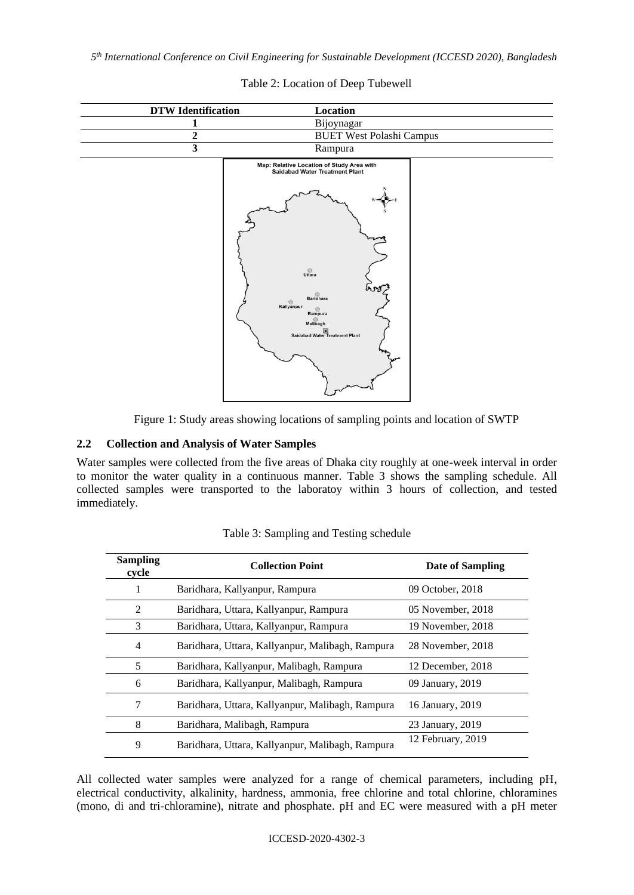*5 th International Conference on Civil Engineering for Sustainable Development (ICCESD 2020), Bangladesh*

| <b>DTW</b> Identification | Location                                                                                                                                                                                                                                   |
|---------------------------|--------------------------------------------------------------------------------------------------------------------------------------------------------------------------------------------------------------------------------------------|
| 1                         | Bijoynagar                                                                                                                                                                                                                                 |
| $\overline{\mathbf{c}}$   | <b>BUET West Polashi Campus</b>                                                                                                                                                                                                            |
| $\mathbf{3}$              | Rampura                                                                                                                                                                                                                                    |
|                           | Map: Relative Location of Study Area with<br><b>Saidabad Water Treatment Plant</b>                                                                                                                                                         |
|                           | $\bigcirc$<br>558<br>$rac{\odot}{\text{Baridhara}}$<br>Kallyanpur<br>$\overset{\circ}{\mathsf{Rampura}}$<br>$\label{eq:1} \begin{tabular}{c} \circ \\ \circ \\ \bullet \\ \text{Mailbagh} \end{tabular}$<br>Saidabad Water Treatment Plant |

### Table 2: Location of Deep Tubewell

Figure 1: Study areas showing locations of sampling points and location of SWTP

#### **2.2 Collection and Analysis of Water Samples**

Water samples were collected from the five areas of Dhaka city roughly at one-week interval in order to monitor the water quality in a continuous manner. Table 3 shows the sampling schedule. All collected samples were transported to the laboratoy within 3 hours of collection, and tested immediately.

| <b>Sampling</b><br>cycle | <b>Collection Point</b>                          | Date of Sampling  |
|--------------------------|--------------------------------------------------|-------------------|
| 1                        | Baridhara, Kallyanpur, Rampura                   | 09 October, 2018  |
| 2                        | Baridhara, Uttara, Kallyanpur, Rampura           | 05 November, 2018 |
| 3                        | Baridhara, Uttara, Kallyanpur, Rampura           | 19 November, 2018 |
| 4                        | Baridhara, Uttara, Kallyanpur, Malibagh, Rampura | 28 November, 2018 |
| 5                        | Baridhara, Kallyanpur, Malibagh, Rampura         | 12 December, 2018 |
| 6                        | Baridhara, Kallyanpur, Malibagh, Rampura         | 09 January, 2019  |
| 7                        | Baridhara, Uttara, Kallyanpur, Malibagh, Rampura | 16 January, 2019  |
| 8                        | Baridhara, Malibagh, Rampura                     | 23 January, 2019  |
| 9                        | Baridhara, Uttara, Kallyanpur, Malibagh, Rampura | 12 February, 2019 |

|  | Table 3: Sampling and Testing schedule |  |  |  |
|--|----------------------------------------|--|--|--|
|--|----------------------------------------|--|--|--|

All collected water samples were analyzed for a range of chemical parameters, including pH, electrical conductivity, alkalinity, hardness, ammonia, free chlorine and total chlorine, chloramines (mono, di and tri-chloramine), nitrate and phosphate. pH and EC were measured with a pH meter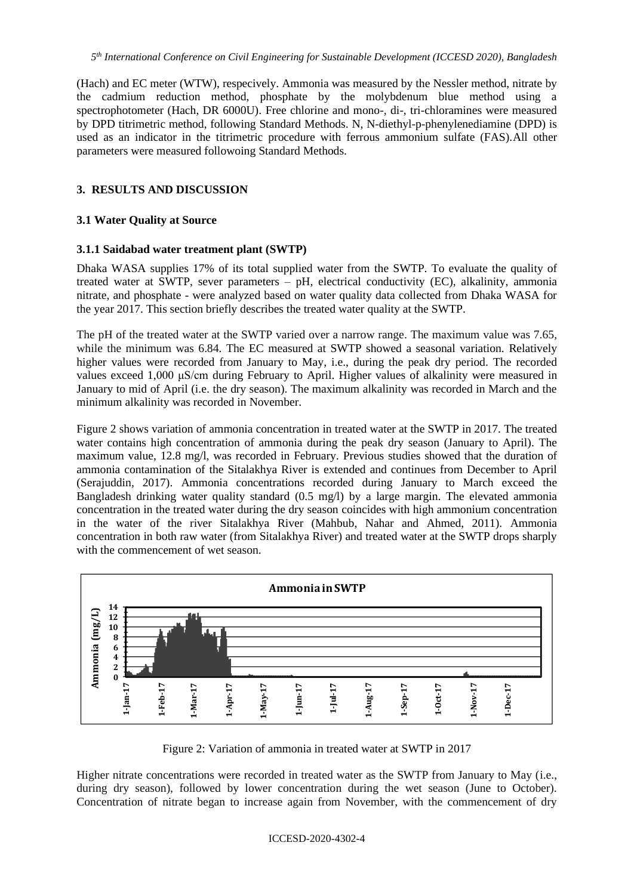(Hach) and EC meter (WTW), respecively. Ammonia was measured by the Nessler method, nitrate by the cadmium reduction method, phosphate by the molybdenum blue method using a spectrophotometer (Hach, DR 6000U). Free chlorine and mono-, di-, tri-chloramines were measured by DPD titrimetric method, following Standard Methods. N, N-diethyl-p-phenylenediamine (DPD) is used as an indicator in the titrimetric procedure with ferrous ammonium sulfate (FAS).All other parameters were measured followoing Standard Methods.

### **3. RESULTS AND DISCUSSION**

#### **3.1 Water Quality at Source**

#### **3.1.1 Saidabad water treatment plant (SWTP)**

Dhaka WASA supplies 17% of its total supplied water from the SWTP. To evaluate the quality of treated water at SWTP, sever parameters – pH, electrical conductivity (EC), alkalinity, ammonia nitrate, and phosphate - were analyzed based on water quality data collected from Dhaka WASA for the year 2017. This section briefly describes the treated water quality at the SWTP.

The pH of the treated water at the SWTP varied over a narrow range. The maximum value was 7.65, while the minimum was 6.84. The EC measured at SWTP showed a seasonal variation. Relatively higher values were recorded from January to May, i.e., during the peak dry period. The recorded values exceed 1,000 μS/cm during February to April. Higher values of alkalinity were measured in January to mid of April (i.e. the dry season). The maximum alkalinity was recorded in March and the minimum alkalinity was recorded in November.

Figure 2 shows variation of ammonia concentration in treated water at the SWTP in 2017. The treated water contains high concentration of ammonia during the peak dry season (January to April). The maximum value, 12.8 mg/l, was recorded in February. Previous studies showed that the duration of ammonia contamination of the Sitalakhya River is extended and continues from December to April (Serajuddin, 2017). Ammonia concentrations recorded during January to March exceed the Bangladesh drinking water quality standard (0.5 mg/l) by a large margin. The elevated ammonia concentration in the treated water during the dry season coincides with high ammonium concentration in the water of the river Sitalakhya River (Mahbub, Nahar and Ahmed, 2011). Ammonia concentration in both raw water (from Sitalakhya River) and treated water at the SWTP drops sharply with the commencement of wet season.



Figure 2: Variation of ammonia in treated water at SWTP in 2017

Higher nitrate concentrations were recorded in treated water as the SWTP from January to May (i.e., during dry season), followed by lower concentration during the wet season (June to October). Concentration of nitrate began to increase again from November, with the commencement of dry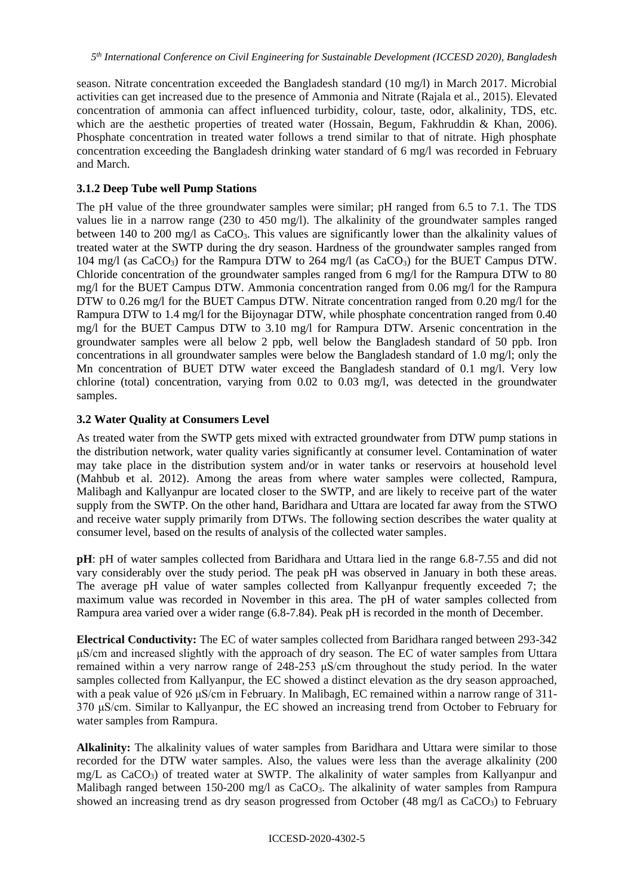season. Nitrate concentration exceeded the Bangladesh standard (10 mg/l) in March 2017. Microbial activities can get increased due to the presence of Ammonia and Nitrate (Rajala et al., 2015). Elevated concentration of ammonia can affect influenced turbidity, colour, taste, odor, alkalinity, TDS, etc. which are the aesthetic properties of treated water (Hossain, Begum, Fakhruddin & Khan, 2006). Phosphate concentration in treated water follows a trend similar to that of nitrate. High phosphate concentration exceeding the Bangladesh drinking water standard of 6 mg/l was recorded in February and March.

## **3.1.2 Deep Tube well Pump Stations**

The pH value of the three groundwater samples were similar; pH ranged from 6.5 to 7.1. The TDS values lie in a narrow range (230 to 450 mg/l). The alkalinity of the groundwater samples ranged between 140 to 200 mg/l as CaCO<sub>3</sub>. This values are significantly lower than the alkalinity values of treated water at the SWTP during the dry season. Hardness of the groundwater samples ranged from 104 mg/l (as CaCO<sub>3</sub>) for the Rampura DTW to 264 mg/l (as CaCO<sub>3</sub>) for the BUET Campus DTW. Chloride concentration of the groundwater samples ranged from 6 mg/l for the Rampura DTW to 80 mg/l for the BUET Campus DTW. Ammonia concentration ranged from 0.06 mg/l for the Rampura DTW to 0.26 mg/l for the BUET Campus DTW. Nitrate concentration ranged from 0.20 mg/l for the Rampura DTW to 1.4 mg/l for the Bijoynagar DTW, while phosphate concentration ranged from 0.40 mg/l for the BUET Campus DTW to 3.10 mg/l for Rampura DTW. Arsenic concentration in the groundwater samples were all below 2 ppb, well below the Bangladesh standard of 50 ppb. Iron concentrations in all groundwater samples were below the Bangladesh standard of 1.0 mg/l; only the Mn concentration of BUET DTW water exceed the Bangladesh standard of 0.1 mg/l. Very low chlorine (total) concentration, varying from 0.02 to 0.03 mg/l, was detected in the groundwater samples.

## **3.2 Water Quality at Consumers Level**

As treated water from the SWTP gets mixed with extracted groundwater from DTW pump stations in the distribution network, water quality varies significantly at consumer level. Contamination of water may take place in the distribution system and/or in water tanks or reservoirs at household level (Mahbub et al. 2012). Among the areas from where water samples were collected, Rampura, Malibagh and Kallyanpur are located closer to the SWTP, and are likely to receive part of the water supply from the SWTP. On the other hand, Baridhara and Uttara are located far away from the STWO and receive water supply primarily from DTWs. The following section describes the water quality at consumer level, based on the results of analysis of the collected water samples.

**pH**: pH of water samples collected from Baridhara and Uttara lied in the range 6.8-7.55 and did not vary considerably over the study period. The peak pH was observed in January in both these areas. The average pH value of water samples collected from Kallyanpur frequently exceeded 7; the maximum value was recorded in November in this area. The pH of water samples collected from Rampura area varied over a wider range (6.8-7.84). Peak pH is recorded in the month of December.

**Electrical Conductivity:** The EC of water samples collected from Baridhara ranged between 293-342 μS/cm and increased slightly with the approach of dry season. The EC of water samples from Uttara remained within a very narrow range of 248-253 μS/cm throughout the study period. In the water samples collected from Kallyanpur, the EC showed a distinct elevation as the dry season approached, with a peak value of 926 μS/cm in February. In Malibagh, EC remained within a narrow range of 311- 370 μS/cm. Similar to Kallyanpur, the EC showed an increasing trend from October to February for water samples from Rampura.

**Alkalinity:** The alkalinity values of water samples from Baridhara and Uttara were similar to those recorded for the DTW water samples. Also, the values were less than the average alkalinity (200 mg/L as CaCO<sub>3</sub>) of treated water at SWTP. The alkalinity of water samples from Kallyanpur and Malibagh ranged between 150-200 mg/l as  $CaCO<sub>3</sub>$ . The alkalinity of water samples from Rampura showed an increasing trend as dry season progressed from October (48 mg/l as CaCO<sub>3</sub>) to February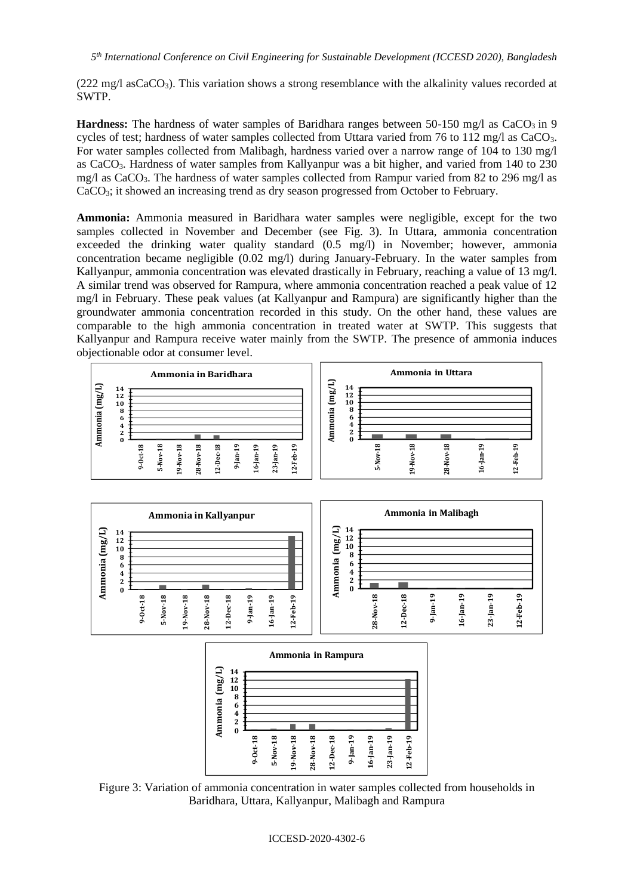$(222 \text{ mg/l } \text{asCaCO}_3)$ . This variation shows a strong resemblance with the alkalinity values recorded at SWTP.

**Hardness:** The hardness of water samples of Baridhara ranges between 50-150 mg/l as  $CaCO<sub>3</sub>$  in 9 cycles of test; hardness of water samples collected from Uttara varied from 76 to 112 mg/l as CaCO3. For water samples collected from Malibagh, hardness varied over a narrow range of 104 to 130 mg/l as CaCO3. Hardness of water samples from Kallyanpur was a bit higher, and varied from 140 to 230 mg/l as CaCO<sub>3</sub>. The hardness of water samples collected from Rampur varied from 82 to 296 mg/l as CaCO<sub>3</sub>; it showed an increasing trend as dry season progressed from October to February.

**Ammonia:** Ammonia measured in Baridhara water samples were negligible, except for the two samples collected in November and December (see Fig. 3). In Uttara, ammonia concentration exceeded the drinking water quality standard (0.5 mg/l) in November; however, ammonia concentration became negligible (0.02 mg/l) during January-February. In the water samples from Kallyanpur, ammonia concentration was elevated drastically in February, reaching a value of 13 mg/l. A similar trend was observed for Rampura, where ammonia concentration reached a peak value of 12 mg/l in February. These peak values (at Kallyanpur and Rampura) are significantly higher than the groundwater ammonia concentration recorded in this study. On the other hand, these values are comparable to the high ammonia concentration in treated water at SWTP. This suggests that Kallyanpur and Rampura receive water mainly from the SWTP. The presence of ammonia induces objectionable odor at consumer level.



Figure 3: Variation of ammonia concentration in water samples collected from households in Baridhara, Uttara, Kallyanpur, Malibagh and Rampura

#### ICCESD-2020-4302-6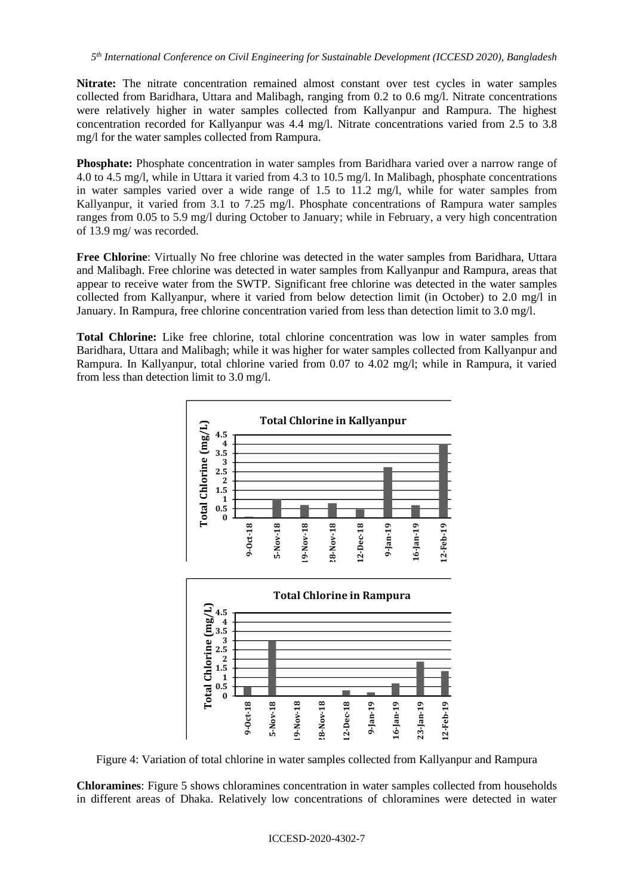**Nitrate:** The nitrate concentration remained almost constant over test cycles in water samples collected from Baridhara, Uttara and Malibagh, ranging from 0.2 to 0.6 mg/l. Nitrate concentrations were relatively higher in water samples collected from Kallyanpur and Rampura. The highest concentration recorded for Kallyanpur was 4.4 mg/l. Nitrate concentrations varied from 2.5 to 3.8 mg/l for the water samples collected from Rampura.

**Phosphate:** Phosphate concentration in water samples from Baridhara varied over a narrow range of 4.0 to 4.5 mg/l, while in Uttara it varied from 4.3 to 10.5 mg/l. In Malibagh, phosphate concentrations in water samples varied over a wide range of 1.5 to 11.2 mg/l, while for water samples from Kallyanpur, it varied from 3.1 to 7.25 mg/l. Phosphate concentrations of Rampura water samples ranges from 0.05 to 5.9 mg/l during October to January; while in February, a very high concentration of 13.9 mg/ was recorded.

**Free Chlorine**: Virtually No free chlorine was detected in the water samples from Baridhara, Uttara and Malibagh. Free chlorine was detected in water samples from Kallyanpur and Rampura, areas that appear to receive water from the SWTP. Significant free chlorine was detected in the water samples collected from Kallyanpur, where it varied from below detection limit (in October) to 2.0 mg/l in January. In Rampura, free chlorine concentration varied from less than detection limit to 3.0 mg/l.

**Total Chlorine:** Like free chlorine, total chlorine concentration was low in water samples from Baridhara, Uttara and Malibagh; while it was higher for water samples collected from Kallyanpur and Rampura. In Kallyanpur, total chlorine varied from 0.07 to 4.02 mg/l; while in Rampura, it varied from less than detection limit to 3.0 mg/l.



Figure 4: Variation of total chlorine in water samples collected from Kallyanpur and Rampura

**Chloramines**: Figure 5 shows chloramines concentration in water samples collected from households in different areas of Dhaka. Relatively low concentrations of chloramines were detected in water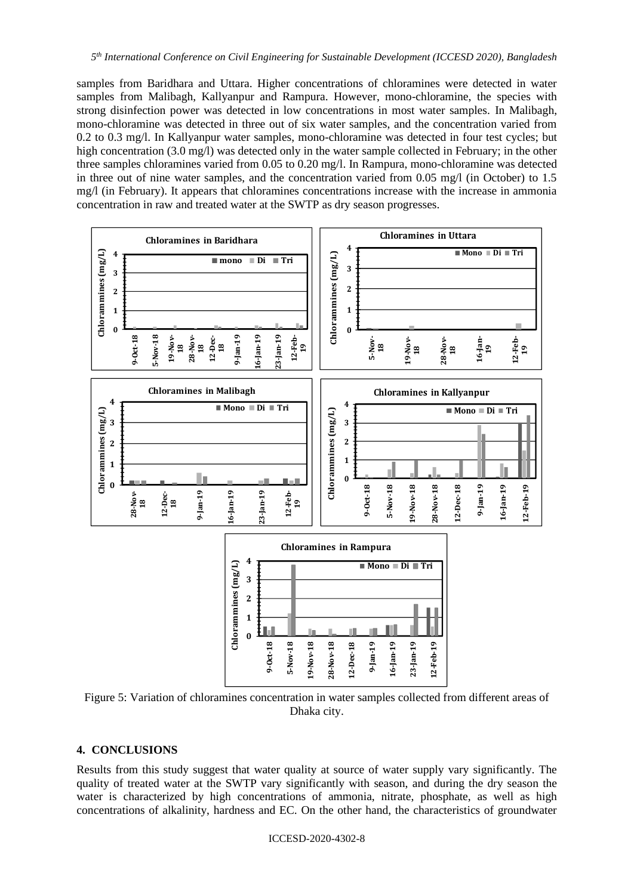samples from Baridhara and Uttara. Higher concentrations of chloramines were detected in water samples from Malibagh, Kallyanpur and Rampura. However, mono-chloramine, the species with strong disinfection power was detected in low concentrations in most water samples. In Malibagh, mono-chloramine was detected in three out of six water samples, and the concentration varied from 0.2 to 0.3 mg/l. In Kallyanpur water samples, mono-chloramine was detected in four test cycles; but high concentration (3.0 mg/l) was detected only in the water sample collected in February; in the other three samples chloramines varied from 0.05 to 0.20 mg/l. In Rampura, mono-chloramine was detected in three out of nine water samples, and the concentration varied from 0.05 mg/l (in October) to 1.5 mg/l (in February). It appears that chloramines concentrations increase with the increase in ammonia concentration in raw and treated water at the SWTP as dry season progresses.



Figure 5: Variation of chloramines concentration in water samples collected from different areas of Dhaka city.

### **4. CONCLUSIONS**

Results from this study suggest that water quality at source of water supply vary significantly. The quality of treated water at the SWTP vary significantly with season, and during the dry season the water is characterized by high concentrations of ammonia, nitrate, phosphate, as well as high concentrations of alkalinity, hardness and EC. On the other hand, the characteristics of groundwater

ICCESD-2020-4302-8